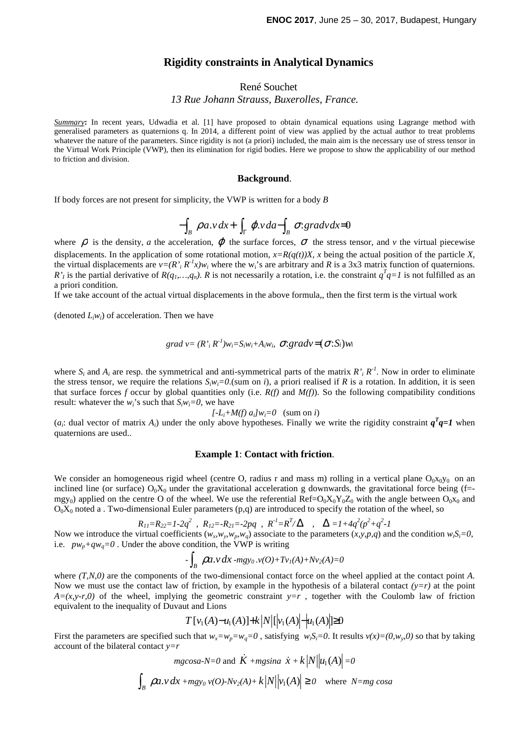## **Rigidity constraints in Analytical Dynamics**

# René Souchet *13 Rue Johann Strauss, Buxerolles, France.*

*Summary***:** In recent years, Udwadia et al. [1] have proposed to obtain dynamical equations using Lagrange method with generalised parameters as quaternions q. In 2014, a different point of view was applied by the actual author to treat problems whatever the nature of the parameters. Since rigidity is not (a priori) included, the main aim is the necessary use of stress tensor in the Virtual Work Principle (VWP), then its elimination for rigid bodies. Here we propose to show the applicability of our method to friction and division.

#### **Background**.

If body forces are not present for simplicity, the VWP is written for a body *B*

$$
-\int_B \rho a.v \, dx + \int_\Gamma \varphi.v \, da - \int_B \sigma : \mathit{grad} v \, dx = 0
$$

where  $\rho$  is the density, a the acceleration,  $\varphi$  the surface forces,  $\sigma$  the stress tensor, and  $\nu$  the virtual piecewise displacements. In the application of some rotational motion,  $x=R(q(t))X$ , x being the actual position of the particle X, the virtual displacements are  $v=(R^r_i R^r x)w_i$  where the w<sub>i</sub>'s are arbitrary and *R* is a 3x3 matrix function of quaternions. *R'*<sub>*I*</sub> is the partial derivative of *R(q<sub>1</sub>, …,q<sub>n</sub>)*. *R* is not necessarily a rotation, i.e. the constraint  $q^Tq=1$  is not fulfilled as an a priori condition.

If we take account of the actual virtual displacements in the above formula,, then the first term is the virtual work

(denoted  $L_i w_i$ ) of acceleration. Then we have

$$
grad v = (R^{\prime}{}_{i} R^{\prime}{}_{j} w_{i} = S_{i} w_{i} + A_{i} w_{i}, \sigma : grad v = (\sigma : S_{i}) w_{i}
$$

where  $S_i$  and  $A_i$  are resp. the symmetrical and anti-symmetrical parts of the matrix  $R_i^T R_i^T$ . Now in order to eliminate the stress tensor, we require the relations  $S_iw_i=0$ .(sum on *i*), a priori realised if *R* is a rotation. In addition, it is seen that surface forces *f* occur by global quantities only (i.e.  $R(f)$  and  $M(f)$ ). So the following compatibility conditions result: whatever the  $w_i$ 's such that  $S_i w_i = 0$ , we have

$$
[-L_i+M(f) a_i]w_i=0 \quad (\text{sum on } i)
$$

(*a*<sub>i</sub>: dual vector of matrix *A*<sub>*i*</sub>) under the only above hypotheses. Finally we write the rigidity constraint  $q^Tq=1$  when quaternions are used..

#### **Example 1**: **Contact with friction**.

We consider an homogeneous rigid wheel (centre O, radius r and mass m) rolling in a vertical plane  $O_0x_0y_0$  on an inclined line (or surface)  $O_0X_0$  under the gravitational acceleration g downwards, the gravitational force being (f=mgy<sub>0</sub>) applied on the centre O of the wheel. We use the referential Ref= $O_0X_0Y_0Z_0$  with the angle between  $O_0x_0$  and  $O_0X_0$  noted a . Two-dimensional Euler parameters (p,q) are introduced to specify the rotation of the wheel, so

$$
R_{11} = R_{22} = 1 - 2q^2
$$
,  $R_{12} = -R_{21} = -2pq$ ,  $R^{-1} = R^T/\Delta$ ,  $\Delta = 1 + 4q^2(p^2 + q^2 - 1)$ 

Now we introduce the virtual coefficients  $(w_x, w_y, w_p, w_q)$  associate to the parameters  $(x, y, p, q)$  and the condition  $w_i S_i = 0$ , i.e.  $pw_p+qw_q=0$ . Under the above condition, the VWP is writing

$$
-\int_B \rho a.v \, dx\, -mgy_0.v(O) + Tv_1(A) + Nv_2(A) = 0
$$

where  $(T, N, 0)$  are the components of the two-dimensional contact force on the wheel applied at the contact point *A*. Now we must use the contact law of friction, by example in the hypothesis of a bilateral contact  $(y=r)$  at the point  $A=(x,y-r,0)$  of the wheel, implying the geometric constraint  $y=r$ , together with the Coulomb law of friction equivalent to the inequality of Duvaut and Lions

$$
T[v_1(A)-u_1(A)]+k|N|[v_1(A)-u_1(A)]\geq 0
$$

First the parameters are specified such that  $w_x = w_y = w_q = 0$ , satisfying  $w_i S_i = 0$ . It results  $v(x) = (0, w_y, 0)$  so that by taking account of the bilateral contact *y=r* 

$$
mgcosa-N=0 \text{ and } \dot{K} + mgsina \dot{x} + k\left|N\right|\left|u_1(A)\right| = 0
$$
  

$$
\int_B \rho a.v \, dx + mgy_0 \, v(O) - Nv_2(A) + k\left|N\right|\left|v_1(A)\right| \ge 0 \quad \text{where } N = mg \, cosa
$$